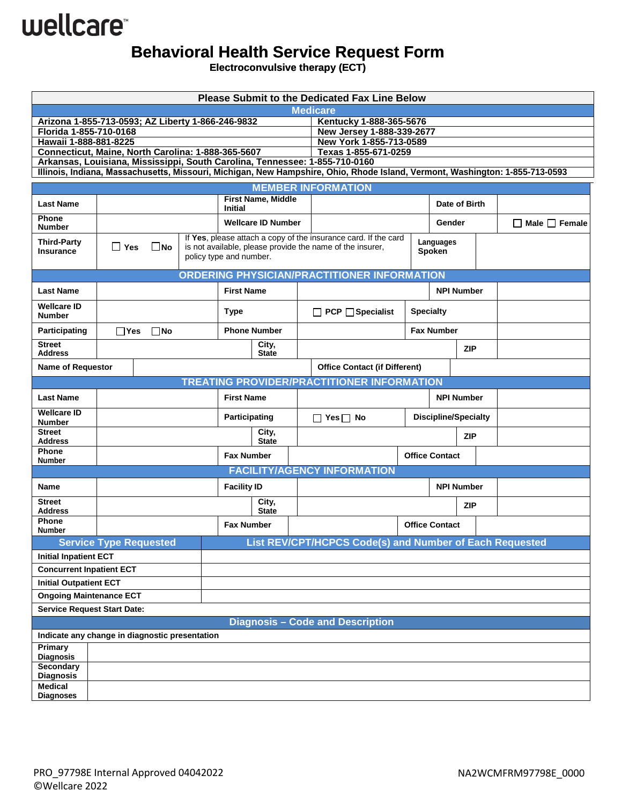## wellcare<sup>®</sup>

## **Behavioral Health Service Request Form**

**Electroconvulsive therapy (ECT)** 

| <b>Please Submit to the Dedicated Fax Line Below</b>                                                                                                                                                        |                               |  |  |                           |                                                                                      |                 |                                                                                        |  |                       |                   |                           |  |
|-------------------------------------------------------------------------------------------------------------------------------------------------------------------------------------------------------------|-------------------------------|--|--|---------------------------|--------------------------------------------------------------------------------------|-----------------|----------------------------------------------------------------------------------------|--|-----------------------|-------------------|---------------------------|--|
|                                                                                                                                                                                                             |                               |  |  |                           |                                                                                      | <b>Medicare</b> |                                                                                        |  |                       |                   |                           |  |
| Arizona 1-855-713-0593; AZ Liberty 1-866-246-9832                                                                                                                                                           |                               |  |  |                           | Kentucky 1-888-365-5676                                                              |                 |                                                                                        |  |                       |                   |                           |  |
| Florida 1-855-710-0168                                                                                                                                                                                      |                               |  |  |                           |                                                                                      |                 | New Jersey 1-888-339-2677                                                              |  |                       |                   |                           |  |
| Hawaii 1-888-881-8225<br>Connecticut, Maine, North Carolina: 1-888-365-5607                                                                                                                                 |                               |  |  |                           |                                                                                      |                 | New York 1-855-713-0589<br>Texas 1-855-671-0259                                        |  |                       |                   |                           |  |
|                                                                                                                                                                                                             |                               |  |  |                           |                                                                                      |                 |                                                                                        |  |                       |                   |                           |  |
| Arkansas, Louisiana, Mississippi, South Carolina, Tennessee: 1-855-710-0160<br>Illinois, Indiana, Massachusetts, Missouri, Michigan, New Hampshire, Ohio, Rhode Island, Vermont, Washington: 1-855-713-0593 |                               |  |  |                           |                                                                                      |                 |                                                                                        |  |                       |                   |                           |  |
|                                                                                                                                                                                                             |                               |  |  |                           | <b>MEMBER INFORMATION</b>                                                            |                 |                                                                                        |  |                       |                   |                           |  |
| <b>Last Name</b>                                                                                                                                                                                            |                               |  |  | <b>Initial</b>            | <b>First Name, Middle</b>                                                            |                 |                                                                                        |  |                       | Date of Birth     |                           |  |
| <b>Phone</b><br><b>Number</b>                                                                                                                                                                               |                               |  |  | <b>Wellcare ID Number</b> |                                                                                      |                 | Gender                                                                                 |  |                       |                   | $\Box$ Male $\Box$ Female |  |
| <b>Third-Party</b><br><b>Insurance</b>                                                                                                                                                                      | ∐ Yes<br>$\Box$ No            |  |  |                           | is not available, please provide the name of the insurer,<br>policy type and number. |                 | If Yes, please attach a copy of the insurance card. If the card<br>Languages<br>Spoken |  |                       |                   |                           |  |
|                                                                                                                                                                                                             |                               |  |  |                           |                                                                                      |                 | <b>ORDERING PHYSICIAN/PRACTITIONER INFORMATION</b>                                     |  |                       |                   |                           |  |
| <b>Last Name</b>                                                                                                                                                                                            |                               |  |  |                           | <b>First Name</b>                                                                    |                 |                                                                                        |  | <b>NPI Number</b>     |                   |                           |  |
| <b>Wellcare ID</b><br><b>Number</b>                                                                                                                                                                         |                               |  |  | <b>Type</b>               |                                                                                      |                 | <b>Specialty</b><br>$\Box$ PCP $\Box$ Specialist                                       |  |                       |                   |                           |  |
| Participating                                                                                                                                                                                               | $\Box$ Yes<br>∏No             |  |  | <b>Phone Number</b>       |                                                                                      |                 | <b>Fax Number</b>                                                                      |  |                       |                   |                           |  |
| <b>Street</b><br><b>Address</b>                                                                                                                                                                             |                               |  |  |                           | City,<br><b>State</b>                                                                |                 |                                                                                        |  |                       | <b>ZIP</b>        |                           |  |
| <b>Name of Requestor</b>                                                                                                                                                                                    |                               |  |  |                           |                                                                                      |                 | <b>Office Contact (if Different)</b>                                                   |  |                       |                   |                           |  |
|                                                                                                                                                                                                             |                               |  |  |                           |                                                                                      |                 | <b>TREATING PROVIDER/PRACTITIONER INFORMATION</b>                                      |  |                       |                   |                           |  |
| <b>Last Name</b>                                                                                                                                                                                            |                               |  |  | <b>First Name</b>         |                                                                                      |                 |                                                                                        |  |                       | <b>NPI Number</b> |                           |  |
| <b>Wellcare ID</b><br><b>Number</b>                                                                                                                                                                         |                               |  |  | <b>Participating</b>      |                                                                                      |                 | <b>Discipline/Specialty</b><br>$\Box$ Yes $\Box$ No                                    |  |                       |                   |                           |  |
| <b>Street</b><br><b>Address</b>                                                                                                                                                                             |                               |  |  | City,<br><b>State</b>     |                                                                                      |                 |                                                                                        |  |                       | <b>ZIP</b>        |                           |  |
| Phone<br>Number                                                                                                                                                                                             |                               |  |  | <b>Fax Number</b>         |                                                                                      |                 |                                                                                        |  | <b>Office Contact</b> |                   |                           |  |
|                                                                                                                                                                                                             |                               |  |  |                           |                                                                                      |                 | <b>FACILITY/AGENCY INFORMATION</b>                                                     |  |                       |                   |                           |  |
| Name                                                                                                                                                                                                        |                               |  |  | <b>Facility ID</b>        |                                                                                      |                 |                                                                                        |  |                       | <b>NPI Number</b> |                           |  |
| <b>Street</b><br><b>Address</b>                                                                                                                                                                             |                               |  |  | City,<br><b>State</b>     |                                                                                      |                 |                                                                                        |  |                       | ZIP               |                           |  |
| <b>Phone</b><br><b>Number</b>                                                                                                                                                                               |                               |  |  | <b>Fax Number</b>         |                                                                                      |                 |                                                                                        |  | <b>Office Contact</b> |                   |                           |  |
|                                                                                                                                                                                                             | <b>Service Type Requested</b> |  |  |                           |                                                                                      |                 | List REV/CPT/HCPCS Code(s) and Number of Each Requested                                |  |                       |                   |                           |  |
| <b>Initial Inpatient ECT</b>                                                                                                                                                                                |                               |  |  |                           |                                                                                      |                 |                                                                                        |  |                       |                   |                           |  |
| <b>Concurrent Inpatient ECT</b>                                                                                                                                                                             |                               |  |  |                           |                                                                                      |                 |                                                                                        |  |                       |                   |                           |  |
| <b>Initial Outpatient ECT</b>                                                                                                                                                                               |                               |  |  |                           |                                                                                      |                 |                                                                                        |  |                       |                   |                           |  |
| <b>Ongoing Maintenance ECT</b>                                                                                                                                                                              |                               |  |  |                           |                                                                                      |                 |                                                                                        |  |                       |                   |                           |  |
| <b>Service Request Start Date:</b>                                                                                                                                                                          |                               |  |  |                           |                                                                                      |                 |                                                                                        |  |                       |                   |                           |  |
| <b>Diagnosis - Code and Description</b>                                                                                                                                                                     |                               |  |  |                           |                                                                                      |                 |                                                                                        |  |                       |                   |                           |  |
| Indicate any change in diagnostic presentation                                                                                                                                                              |                               |  |  |                           |                                                                                      |                 |                                                                                        |  |                       |                   |                           |  |
| Primary                                                                                                                                                                                                     |                               |  |  |                           |                                                                                      |                 |                                                                                        |  |                       |                   |                           |  |
| <b>Diagnosis</b>                                                                                                                                                                                            |                               |  |  |                           |                                                                                      |                 |                                                                                        |  |                       |                   |                           |  |
| <b>Secondary</b><br><b>Diagnosis</b>                                                                                                                                                                        |                               |  |  |                           |                                                                                      |                 |                                                                                        |  |                       |                   |                           |  |
| <b>Medical</b>                                                                                                                                                                                              |                               |  |  |                           |                                                                                      |                 |                                                                                        |  |                       |                   |                           |  |
| <b>Diagnoses</b>                                                                                                                                                                                            |                               |  |  |                           |                                                                                      |                 |                                                                                        |  |                       |                   |                           |  |